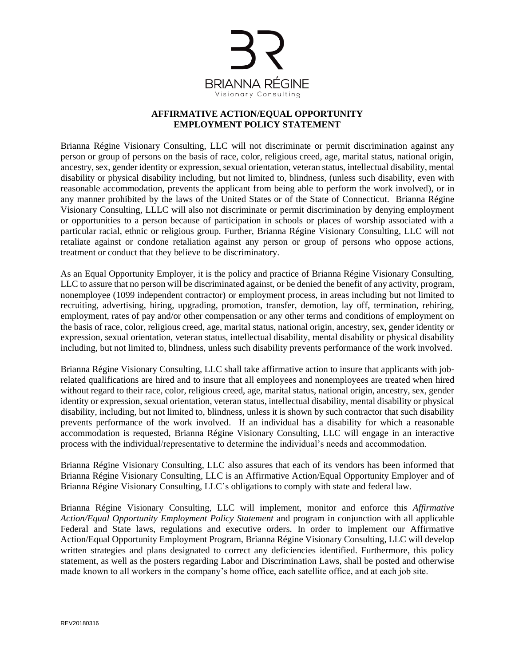

## **AFFIRMATIVE ACTION/EQUAL OPPORTUNITY EMPLOYMENT POLICY STATEMENT**

Brianna Régine Visionary Consulting, LLC will not discriminate or permit discrimination against any person or group of persons on the basis of race, color, religious creed, age, marital status, national origin, ancestry, sex, gender identity or expression, sexual orientation, veteran status, intellectual disability, mental disability or physical disability including, but not limited to, blindness, (unless such disability, even with reasonable accommodation, prevents the applicant from being able to perform the work involved), or in any manner prohibited by the laws of the United States or of the State of Connecticut. Brianna Régine Visionary Consulting, LLLC will also not discriminate or permit discrimination by denying employment or opportunities to a person because of participation in schools or places of worship associated with a particular racial, ethnic or religious group. Further, Brianna Régine Visionary Consulting, LLC will not retaliate against or condone retaliation against any person or group of persons who oppose actions, treatment or conduct that they believe to be discriminatory.

As an Equal Opportunity Employer, it is the policy and practice of Brianna Régine Visionary Consulting, LLC to assure that no person will be discriminated against, or be denied the benefit of any activity, program, nonemployee (1099 independent contractor) or employment process, in areas including but not limited to recruiting, advertising, hiring, upgrading, promotion, transfer, demotion, lay off, termination, rehiring, employment, rates of pay and/or other compensation or any other terms and conditions of employment on the basis of race, color, religious creed, age, marital status, national origin, ancestry, sex, gender identity or expression, sexual orientation, veteran status, intellectual disability, mental disability or physical disability including, but not limited to, blindness, unless such disability prevents performance of the work involved.

Brianna Régine Visionary Consulting, LLC shall take affirmative action to insure that applicants with jobrelated qualifications are hired and to insure that all employees and nonemployees are treated when hired without regard to their race, color, religious creed, age, marital status, national origin, ancestry, sex, gender identity or expression, sexual orientation, veteran status, intellectual disability, mental disability or physical disability, including, but not limited to, blindness, unless it is shown by such contractor that such disability prevents performance of the work involved. If an individual has a disability for which a reasonable accommodation is requested, Brianna Régine Visionary Consulting, LLC will engage in an interactive process with the individual/representative to determine the individual's needs and accommodation.

Brianna Régine Visionary Consulting, LLC also assures that each of its vendors has been informed that Brianna Régine Visionary Consulting, LLC is an Affirmative Action/Equal Opportunity Employer and of Brianna Régine Visionary Consulting, LLC's obligations to comply with state and federal law.

Brianna Régine Visionary Consulting, LLC will implement, monitor and enforce this *Affirmative Action/Equal Opportunity Employment Policy Statement* and program in conjunction with all applicable Federal and State laws, regulations and executive orders. In order to implement our Affirmative Action/Equal Opportunity Employment Program, Brianna Régine Visionary Consulting, LLC will develop written strategies and plans designated to correct any deficiencies identified. Furthermore, this policy statement, as well as the posters regarding Labor and Discrimination Laws, shall be posted and otherwise made known to all workers in the company's home office, each satellite office, and at each job site.